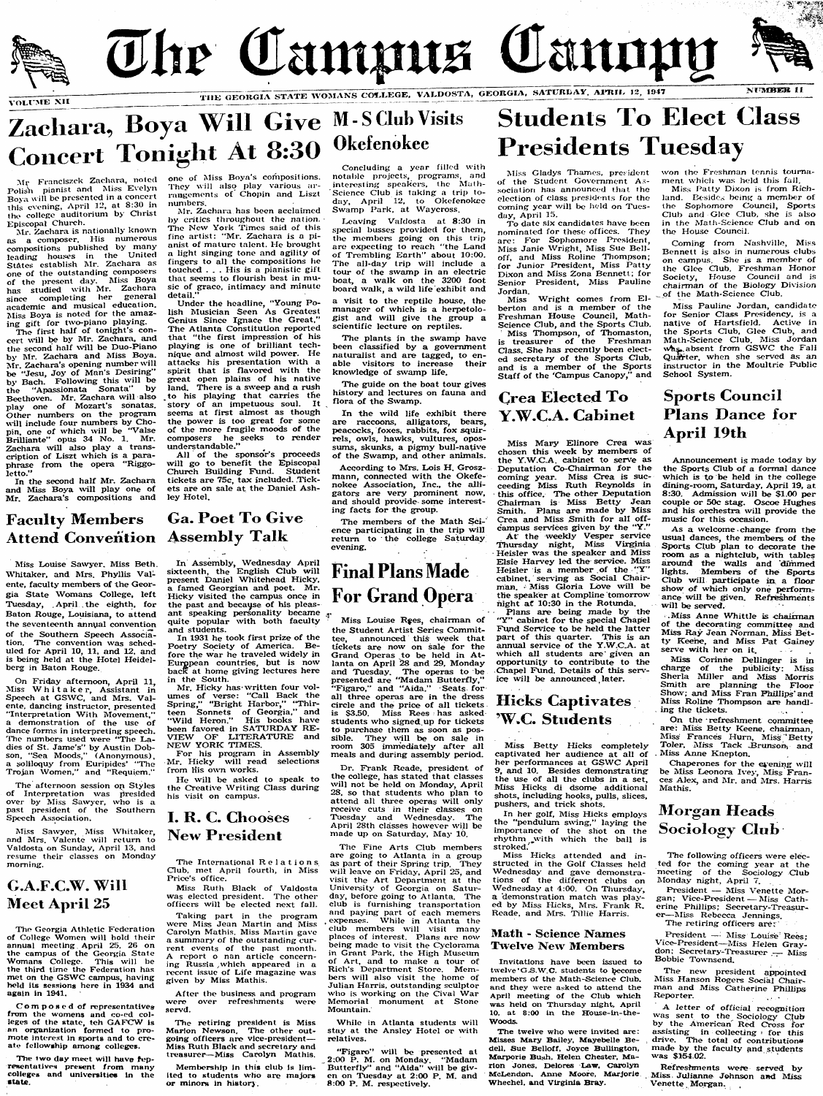

# **Zachara, Boya Will Give M-S Club Visits Concert Tonight At 8:30**

 $\rm{Mr}$  Franciszek Zachara, noted Polish pianist and Miss Evelyn Boya will be presented in a concert this evening, April 12, at 8:30 in the college auditorium by Christ Episcopai Church.

Mr. Zachara is nationally known as a composer. His numerous compositions pubiished by many leading houses in the United States establish Mr. Zachara as one of the outstanding composers of the present day. Miss Boya has studied with Mr. Zaehara since completing her general academic and musical education, Miss Boya is noted for the amazing gift for two-piano playing.

The first half of tonight's concert will be by Mr. Zachara, and the second half will be Duo-Piano by Mr. Zachara and Miss Boya.<br>Mr. Zachara's opening number will Mr. Zachara's opening number will be "Jesu, Joy of Man's Desiring' by Bach. Following this will be the 'Apassionata Sonata" by Beethoven. Mr. Zaehara will also play one of Mozart's sonatas. Other numbers on the program wall include four numbers by Chopin, one of which will be "Valse BriUiante' opus 34 No. 1. Mr. Zaehara will also play a transcription of Liszt which is a paraphrase from the opera "Riggoletto.'

In the second half Mr. Zaehara and Miss Boya wall play one of Mr. Zachara's compositions and one of Miss Boya's compositions. They will also play various arrangements of Chopin and Liszt numbers.

Mr. Zachara has been acclaimed by critics throughout the nation. The New York Times said of this fine artist: "Mr. Zaehara is a pianist of mature talent. He brought a light singing tone and agility of fingers to all the compositions he touched . . . His is a pianistic gift that seems to flourish best in music of grace, intimacy and minute detail.'

All of the sponsor's proceeds will go to benefit the Episcopal Church Building Fund. Student tickets are 75c, tax included. Tickets are on sale at the Daniel Ash-

Mr. Hicky has written four volumes of verse: "Call Back the Spring," "Bright Harbor," "Thirteen Sonnets of Georgia," and "Wild Heron.' His books have been favored in SATURDAY RE-VIEW OF LITERATURE and NEW YORK TIMES.

Under the headline, "Young Polish Musician Seen As Greatest Genius Since Ignace the Great," The Atlanta Constitution reported that "the first impression of his playing is one of brilliant technique and almost wild power. He attacks his presentation with a spirit that is flavored with the great open plains of his native land. There is a sweep and a rush to his playing that carries the story of an impetuous soul. It seems at first almost as though the power is too great for some of the more fragile moods of the composers he seeks to render understandable."

Miss Sawyer, Miss Whitaker, and Airs. Valente will return to Valdosta on Sunday, April 13, and resume their classes on Monday morning.

ley Hotel.

After the business and program<br>ere over refreshments were were over refreshments scrvd.

The two day meet will have representatives present from many coiieges and universities in the **state.**

The retiring president is Miss Marlon Ncwson. The other outgoing officers are vice-president— Miss Ruth Black and secretary and treasurer-Miss Carolyn Mathis.

Aliss Louise Sawyer. Miss Beth. Whitaker, and Mrs. Phyllis Valente, faculty members of the Georgia State Womans College, left Tuesday, April the eighth, for Baton Rouge, Louisiana, to attend the seventeenth annual convention of the Southern Speech Association. The convention was scheduled for April 10, 11, and 12, and is being held at the Hotel Heidelberg in Baton Rouge.

On Friday afternoon, April 11, Aliss Whitaker, Assistant in Speech at GSWC, and Mrs. Valente, dancing instructor, presented "Interpretation With Movement, ' a demonstration of the use of dance forms in interpreting speech. The numbers used were \*The Ladies of St. Jame's" by Austin Dobson, "Sea Moods," (Anonymous), a soliloquy from Euripides' "The Trojan Women," and "Requiem."

Concluding a year filicd with notalde projects, programs, and interesting speakers, the Math-Science Club is taking a trip today, April 12, to Okcfenokcc Swamp Park, at Waycross.

The afternoon session op Styles of Interpretation w^as presided over by Miss Sawyer, who is a past president of the Southern Speech Association.

In Assembly, Wednesday April sixteenth, the English Club will present Daniel Whitehead Hicky, a famed Georgian and poet. Mr. Hicky visited the campus once in the past and because of his pleasant speaking personality became quite popular with both faculty and students.

In 1931 he took first prize of the Poetry Society of America. Before the war he traveled widely in European countries, but is now back at home giving lectures here in the South.

According to Mrs. Lois H. Groszmann, connected with the Okefenokee Association, Inc., the alligators are very prominent now, and should provide some interesting facts for the group.

The members of the Math Science participating in the trip will return to the college Saturday vening.

For his program in Assembly Mr. Hicky will read selections from His owm works.

He will be asked to speak to the Creative Writing Class during his visit on campus.

Miss Thompson, of Thomaston, is treasurer of the Freshman Class. She has recently been elected secretary of the Sports Club, and is a member of the Sports Staff of the 'Campus Canopy," and

### **I. R. C. Chooses New President**

Coming from Nashville, Miss Bennett is also in numerous clubs on campus. She is a member of the Glee Club, Freshman Honor Society, House Council and is chairman of the Biology Division of the Math-Science Club.

Miss Pauline Jordan, candidate for Senior Class Presidency, is a native of Hartsfield. Active in the Sports Club, Glee Club, and Alath-Science Club. Aliss Jordan absent from GSWC the Fall Quarter, when she served as an instructor in the Moultrie Public School System.

The Georgia Athletic Federation of College Women will hold their annual meeting April 25. 26 on the campus of the Georgia State Womans College. This will be the third time the Federation has met on the GSWC campus, having held its sessions here in 1934 and again in 1941.

### **Crea Elected To Y .W .C .A . Cabinet**

The International Relations (Jlub, met April fourth, in Aliss Price's office.

### G.A.F.C.W. Will **Meet April 25**

Miss Ruth Black of Valdosta was elected president. The other officers will be elected next fall.

Miss Louise Rees, chairman of the Student Artist Series Commitannounced this week that tickets are now on sale for the Grand Operas to be held in Atlanta on April 28 and 29, Monday and Tuesday. The operas to be presented are "Madam Butterfly,'\* "Figaro," and "Aida." Seats for all three operas are in the dress circle and the price of ail tickets is \$3.50. Miss Rees has asked students who signed, up for tickets to purchase them as soon as possible. They will be on sale in room 305 immediately after all meals and during assembly period.

Taking part in the program were Miss Jean Martin and Miss Carolyn Mathis. Miss Martin gave a summary of the outstanding current events of the past month. A report o nan article concerning Russia which appeared in a recent issue of Life magazine was given by Miss Mathis.

Miss Mary Elinore Crea was chosen this week by members of the Y.W.C.A. cabinet to serve as Deputation Co-Chairman for the coming year. Miss Crea is succeeding Aliss Ruth Reynolds in this office. The other Deputation Chairman is Aliss Betty Jean Smith. Flans are made by Aliss Crea and Miss Smith for all offcampus services given by the "Y ."

Composed of representatives from the womens and co-ed colleges of the state, teh GAFCW is an organization formed to promote Interest in sports and to create fellowship among colleges.

At the weekly Vesper service Thursday night. Miss Virginia Heisler was the speaker and Miss Elsie Harvey led the service. Miss Heisler is a member of the  $'Y'$ cabinet, serving as Social Chairman. Miss Gloria Love will be the speaker at Compline tomorrow night at 10:30 in the Rotunda.

#### **Hicks Captivates W .C. Students**

### **Final Plans Made For Grand Opera**

.Miss Anne Whittle is chairman of the decorating committee and Miss Ray Jean Norman. Aliss Betty Keene, and Miss Fat Gainey serve with her on it.

Dr. Frank Reade, president of the college, has stated that classes will not be held on Monday, April 28, so that students who plan to attend all three operas will only receive cuts in their classes on Tuesday and Wednesday. The April 28th classes however will be made up on Saturday, Alay 10.

Miss Corinne Dellinger is in charge of the publicity: Aliss Sherla Aliller and Aliss Morris Smith are planning the Floor Show; and Aliss Fran Fhillips'and Miss Roline Thompson are handling the tickets.

On the refreshment committee are: Aliss Betty Keene, chairman, Miss Frances Hurn, Miss Betty Toler, Miss Tack Brunson, and Miss Anne Knepton.

Chaperones for the evening will be Miss Leonora Ivey, Miss Frances Alex, and Air. and Airs. Harris Mathis.

The Fine Arts Club members are going to Atlanta in a group as part of their Spring trip. They Will leave on Friday. April 25, and visit the Art Department at the University of Georgia on Saturday, before going to Atlanta. The club is furnishing transportation and paying part of each memers . expenses. While in Atlanta the club members will visit many places of interest. Plans are now being made to visit the Cyclorama in Grant Fark, the High Aluseum of Art, and to make a tour of Rich's Department Store. Members will also visit the home of Julian Harris, outstanding sculptor who is working on the Cival War Alcmorial monument at Stone Mountain.

Membership in this club is limited to students who are majors or minors in history.

"Figaro" will be presented at<br>00 P. M. on Monday, "Madam \_2:00 F. M, on Monday. "Madam Butterfly" and "Aida" will be given on Tuesday at 2:00 F. M, and 8:00 F. M. respectively.

# **Students To Elect Glass Presidents Tuesday**

The following officers were elected for the coming year at the meeting of the Sociology Club

### **Faculty Members** Ga. Poet To Give **Attend Convention Assembly Talk**

The new president appointed Aliss Hanson Rogers Social Chairman and Aliss Catherine Fhillips Reporter.

Leaving Valdosta at 8:30 in special busses provided for them, the members going on this trip arc expecting to reach "the Land of Trembling Earth'' about 10:00. The all-day trip will include a tour of the swamp in an electric boat, a walk on the 3200 foot board walk, a wild life exhibit and a visit to the reptile house, the

> Refreshments were served by Miss Julianne Johnson and Aliss Venette Morgan.

manager of which is a herpetologist and will give the group a scientific lecture on reptiles.

The plants in the swamp have been classified by a government naturalist and are tagged, to en-<br>able visitors to increase their able visitors to increase knowledge of swamp life.

The guide on the boat tour gives history and lectures on fauna and flora of the Swamp.

In the wild life exhibit there are raccoons, alligators, bears, peacocks, foxes, rabbits, fox squirrels, owls, hawks, vultures, opossums, skunks, a pigmy bull-native of the Swamp, and other animals.

Aliss Gladys Thames, president of the Student Government Association has announced that the election of class presidents for the coming year will be held on Tuesday, April 15.

To date six candidates have been nominated for these offices. They arc: For Sophomore President, Aliss Janie Wright, Aliss Sue BcHoff, and Aliss Roline Thompson; for Junior President, Miss Patty Dixon and Miss Zona Bennett; for Senior Fresident, Aliss Pauline Jordan.

Aliss Wright comes from Elberton and is a member of the Freshman House Council, Math-Science Club, and the Sports Club.

won the Freshman tennis tournament which was held this fail.

Miss Fatty Dixon is from Richland. Besides being a member of the Sophomore Council, Sports Club and Glee Club, she is also in the Math-Science **Club and on** the House Council.

Flans are being made by the "Y" cabinet for the special Chapel Fund Service to be held the latter part of this quarter. This is an annual service of the Y.W.C.A. at which all students are given an opportunity to contribute to the Chapel Fund. Details of this service will be announced later.

### **Sports Council Plans Dance for A p r il 19th**

Announcement is made today by the Sports Club of a formal dance which is to be held in the college dining-room, Saturday, April 19, at 8:30. Admission will be \$1.00 per couple or 50c stag. Oscoe Hughes and his orchestra will provide the music for this occasion.

As a welcome change from the usual dances, the members of the Sports Club plan to decorate the room as a nightclub, with tables around the walls and dimmed lights. Members of the Sports Club will participate in a floor show of which only one performance will be given. Refreshments will be served.

# **A lorgan Heads**

Aliss Betty Hicks completely captivated her audience at all of her performances at GSWC April 9, and 10. Besides demonstrating the use of all the clubs in a set, Aliss Hicks di dsome additional shots, including hooks, pulls, slices, pushers, and trick shots.

In her golf, Aliss Hicks employs the "pendulum swing," laying the  $\begin{bmatrix} 0 & 0 \\ 0 & 1 \end{bmatrix}$   $\begin{bmatrix} 0 & 0 \\ 0 & 1 \end{bmatrix}$ importance of the shot on the rhythm with which the ball is stroked.^

Miss Hicks attended and instructed in the Golf Classes held<br>Wednesday and gave demonstrate Wednesday and gave demonstrations of the different clubs on Wednesday at 4:00. On Thursday, a demonstration match was played by Aliss Hicks, Airs. Frank R. Reade, and Airs. Tillie Harris.

#### **Math - Science Wames Twelve New Members**

While in Atlanta students will stay at the Ansley Hotel or with relatives.

**Invitations have been issued to twelve'GJS.W.C. students to become members of the Math-Scienee Club, and they were asked to attend the April meethig of the Club which was held on Thursday night, April** 10, at 8:00 in the House-in-the-**Woods.**

**The twelve who were invited arc: Misses Mary Bailey. Mayebelle Bedell. Sue Belloff, Joyce BuHington,** Marporie Bush, Helen Chester, Ma**rlon Jones. D€4ores Law, Carolyn McLendon, Anne Moore, Marjorie Wheehel, and Virginia Bray.**

Alonday night, April 7.

Fresident — Aliss Venette Alorgan; Vice-Fresident — Aliss Catherine Phillips; Secretary-Treasurer—Aliss Rebecca Jennings. The retiring officers are:

Fresident — Aliss Louise'Rees; Vice-Fresident—Aliss Helen Graydon; Secretary-Treasurer - Miss Bobbie Townsend.

A letter of official recognition was sent to the Sociology Club by the American Red Cross for assisting in collecting < for this drive. The total of contributions made by the faculty and students was \$154.02.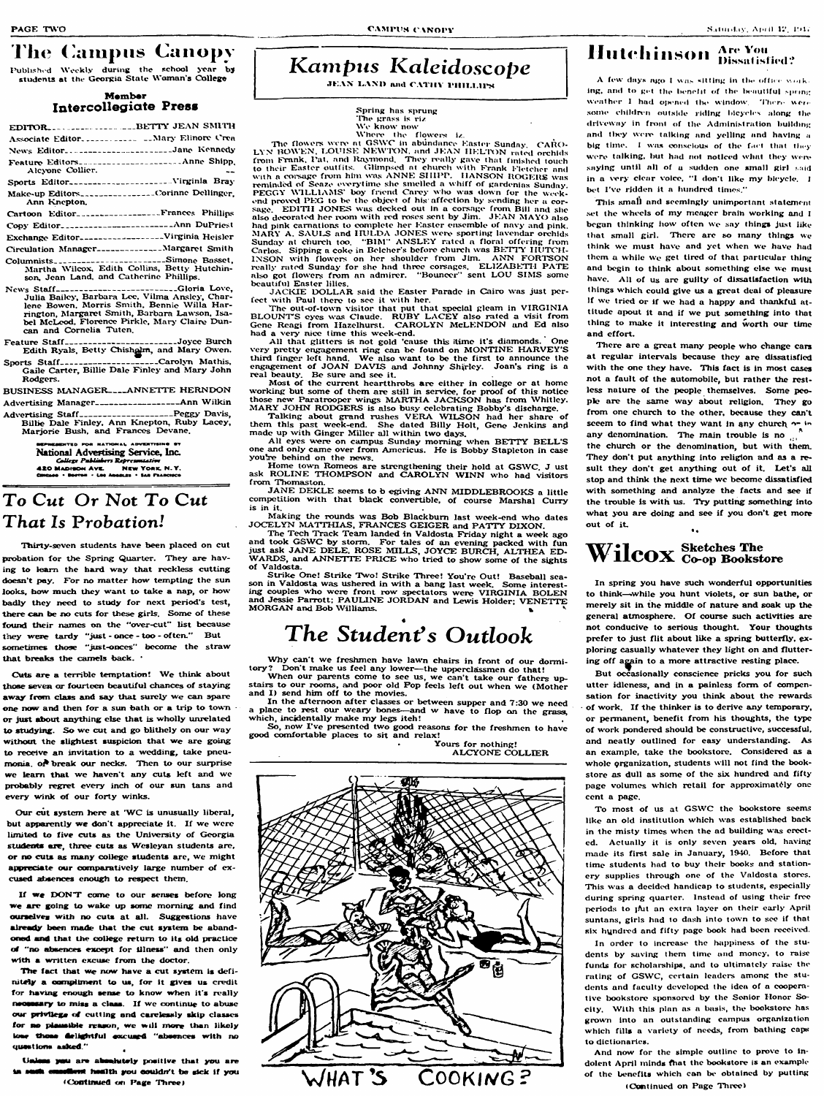## **The Campus Canopy**

Published Weekly during the school year by students at the Georgia State Woman's College

#### **Member Intercollegiate Press**

|                  | EDITORBETTY JEAN SMITH                                                                                              |
|------------------|---------------------------------------------------------------------------------------------------------------------|
|                  |                                                                                                                     |
|                  | News Editor Jane Kennedy                                                                                            |
| Aleyone Collier. | Feature EditorsAnne Shipp.                                                                                          |
|                  | Sports Editor------------------------Virginla Bray                                                                  |
| Ann Knepton.     | Make-up Editors_______________Corinne Dellinger.                                                                    |
|                  | Cartoon Editor <sub>n</sub> -research-research-Frances Phillips                                                     |
|                  | Copy Editor_______________________Ann DuPriest                                                                      |
|                  | Exchange Editor------------------Virginia Heisler                                                                   |
|                  | Circulation Manager_____________Margaret Smith                                                                      |
|                  | ColumnistsSimone Basset.<br>Martha Wilcox, Edith Collins, Betty Hutchin-<br>son, Jean Land, and Catherine Phillips. |

News Staff\_\_\_\_\_\_\_\_\_\_\_\_\_\_\_\_\_\_\_\_\_\_\_Gloria Love, **Julia Bailey, Barbara Lee. Vilma Ansley, Char**lene Bowen, Morris Smith, Bennie Willa Har**rington, Aiargaret Smith, Barbara Lawson. Isa**bel McLcod, Florence Pirkle, Mary Claire Dun**can and Cornelia Tuten.**

Sports Staff--------------------Carolyn Mathis, **Gaile Carter, Billie Dale Finley and Alary John Rodgers.**

**BUSINESS MANAGER\_\_\_\_ANNETTE HERNDON** 

**Feature S ta ff\_\_\_\_\_\_\_\_\_\_\_\_\_\_\_\_\_\_\_\_\_\_\_\_\_\_\_\_ Joyce Burch Edith Ryals, Betty Chish^m , and Mary Owen.**

**Advertising Alanager------------------------------ Ann W ilk in**

Cuts are a terrible temptation! We think about **those seven or fourteen beautiful chances of staying** away from class and say that surely we can spare **one now and then for a sun bath or a trip to town or just about anything else that is wholly unrelated** to studying. So we cut and go blithely on our way without the slightest suspicion that we are going **to receive an invitation to a wedding, take pneumonia. oA break our necks. Then to our surprise** we learn that we haven't any cuts left and we **probably regret every inch of our sun tans and every wink of our forty winks.**

**Advertising S ta ff--------------------------------- Feggy Davis, Billie Dale Finley. Arm Knepton, Ruby Lacey, Marjorie Bush, and Frances Devane.**

> ENTED FOR MATIONAL ADVENTISING ST **National Advertising Service, Inc.** NEW YORK, N.Y. **420 MADISON AVE.**

Our cut system here at 'WC is unusually liberal, but apparently we don't appreciate it. If we were **limited to five cuts as the University of Georgia** students are, three cuts as Wesleyan students are, or no cuts as many college students are, we might **appreciate our comparatively large number of ex-**

# **Kampus Kaleidoscope**

**JEAN LAND and CATHY PHILLIPS** 

### **To Cut Or Not To Cut That Is Probation!**

The fact that we now have a cut system is definitely a compliment to us, for it gives us credit for having enough sense to know when it's really nsonsary to miss a class. If we continue to abuse **our petvtlega of cutting and carelessly skip classes** for no plausible reason, we will more than likely ione those delightful excused "absences with no **questions asked "**

**UsJeas you are akaahttely positive thst you are efferst health you couldn't be sick if you (Continued on Page Three)** 

**Thirty-seven students have been placed on cut probation for the Spring Quarter. They are hav**ing to learn the hard way that reckless cutting **doesn't pay. For no matter how tempting the sun looks, how much they want to take a nap, or how badly they need to study for next period's test, there can be no cuts for these girls. Some of these** found their names on the "over-cut" list because **they w ere tardy 'just - once - too - often." But sometimes those "just-onces' become the straw that breaks the camels back. '**

**Whert' the flowers iz. LYN BOWEN, LOUISE NEWTON, and JEAN IIELTON rated orchids The flowers were at GSWC in abundance Easter Sunday, CARO**from **Frank. Pat. and Raymond. They really gave** that finished touch **to their Easter outfits^ Glitnpsed nt churcii with Frank Eieteiier and** with a coisage from him was ANNE SHIPP. HANSON ROGERS was **remindixi of Seaze e\x'rytime she smelled a wh iff of gardenias Sunday. FEGGY WILLIAMS' boy friend Carey who was down for the week-**

end proved PEG to be the object of his affection by sending her a corsage. **EDITH JONES** was decked out in a corsage from Bill and she **also decorated her twmt with red roses sent by Jim. JE A N AiAYO also had pink carnations to complete her Easter ensemble of navy and pink. AlARY A. S A U l ^ and H U L D A JO N ES were sporting lavendar orchids** Sunday at church too. "BIM" ANSLEY rated a floral offering from Carlos. Sipping a coke in Belcher's before church was BETTY HUTCH-**IN SO N with flowers on her shoulder from Jim. A N N FORTISON** really rated Sunday for she had three corsages. ELIZABETH PATE **also got flowers from an admirer. "Bouncer " sent LO U SIAIS some beauUful Easter lilies.**

JACKIE DOLLAR said the Easter Parade in Cairo was just per**fect with Fau! there to sec it with her.**

The out-of-town visitor that put that special gleam in VIRGINIA **B L O U N T S eyes was Claude. R U B Y L A C E Y also rated a visit from Gene Rcagi from Hazelhurst. C A R O L Y N M cL E N D O N and Ed also had a very nice time this week-end.**

**cused absences enough to respect them.**

If we DON'T come to our senses before long we are going to wake up some morning and find **ourselvea with no cuts at all. Suggestions have already been made that the cut system be abandoned and that the college return to its old practice** of "no absences except for illness" and then only with a written excuse from the doctor.

**M A R Y JO H N RO DG ERS is also busy celebrating Bobby's discharge. Talking about grand rushes V E R A W IL S O N had her share of them this past week-end. She dated Billy Holt, Gene Jenkins anp** made up with Ginger Miller all within two days.

All eyes were on campus Sunday morning when BETTY BELL'S **one and only came over from Americus. He is Bobby Stapleton in case youlre behind on the news.**

Home town Romeos are strengthening their hold at GSWC. J ust ask ROLINE THOMPSON and CAROLYN WINN who had visitors **from Thomaston.**

JANE DEKLE seems to b egiving ANN MIDDLEBROOKS a little **competition with that black convertible, of course Marshal Curry is in it.**

Making the rounds was Bob Blackburn last week-end who dates JOCELYN MATTHIAS, FRANCES GEIGER and PATTY DIXON.

Why can't we freshmen have lawn chairs in front of our dormitory? Don't make us feel any lower—the upperclassmen do that! Don't make us feel any lower—the upperclassmen do that! **When our parents come to see us, we can't take our fathers up-**

when our parents tome to see the, we can come our contexts of and I) send him off to the movies.

#### **Spring has sprung ITie grass is riz W'v know now**

In the afternoon after classes or between supper and 7:30 we need place to rest our weary bones—and w have to flop on the grass, **which, incidentally make my legs itch!**

This small and seemingly unimportant statement **set the wheels of my meager brain working and I** began thinking how often we say things just like that small girl. There are so many things we **think wc must have and yet when we have had them a while we get tired of that particular thing and begin to think about something else we must** have. All of us are guilty of dissatisfaction with **things which could give us a great deai of pleasure if we tried or if wo had a happy and thankful attitude apout it and if we put something into that thing to make it interesting and worth our time and effort.**

There are a great many people who change cars **at regular intervals because they are dissatisfied with the one they have. This fact is in most cases not a fault of the automobile, but rather the restless nature of the people themselves. Some people are the same way about religion. They go from one church to the other, because they can't** seeem to find what they want in any church on in **any denomination. The main trouble is no the church or the denomination, but with them. They don't put anything into religion and as a result they don't get anything out of it. Let's all stop and think the next time wc become dissatisfied with something and analyze the facts and see if the trouble is with us. T ry putting something into what you are doing and see if you don't get more out of it. \***

#### **Sketches The vv LLCUX** Co-op Bookstore

In spring you have such wonderful opportunities **to thirtk—.while you hunt violets, or sun bathe, or merely sit in the middle of nature and soak up the** general atmosphere. Of course such activities are **not conducive to serious thought. Your thoughts prefer to just flit about like a spring butterfly, ex**ploring casually whatever they light on and fluttering off again to a more attractive resting place.

**AH that glitters is not gold 'cause this itimo it's diamonds. One very pretty engagement ring can be found on MONTINE HARVEY'S tJiird finger left hand. W e also want to be the first to announce the** engagement of JOAN DAVIS and Johnny Shirley. Joan's ring is a **real beauty. Be sure and see it.**

Most of the current heartthrobs are either in college or at home working but some of them are still in service, for proof of this notice those new Paratrooper wings MARTHA JACKSON has from Whitley.

> To most of us at GSWC the bookstore seems **like an old institution which was established back in the misty times when the ad building was erected. Actually it is only seven years old, having made its first sale in January, 1940. Before that time students had to buy their books and stationery supplies through one of the Valdosta stores. This was a decided handicap to students, especially during spring quarter. Instead of using their free periods to jAit an extra layer on their early April suntans, girls had to dash into town to see if that six hundtvd and fifty page book had been received.** In order to increase the happiness of the stu**dents by saving them time and money, to raise funds for scholarships, and to ultimately raise the** rating of GSWC, certain leaders among the stu**dents and faculty developed tho idea of a cooperative bookstore sponsored by tho Senior Honor Socity. W ith this plan as a basis, the bookstore has gro\^Ti into an outstanding campus organization which fills a variety of needs, from bathing caps to dictionaries.**

**The Tech Track Team landed in Valdosta Friday night a week ago** and took GSWC by storm. For tales of an evening packed with fun **just ask J A N E D E LE . ROSE M IL LS , JO YC E B UR CH , A L T H E A E D**  WARDS, and ANNETTE PRICE who tried to show some of the sights **of Valdosta.**

Strike One! Strike Two! Strike Three! You're Out! Baseball season in Valdosta was ushered in with a bang last week. Some interesting couples who were front row spectators were VIRGINIA BOLEN and Jessie Parrott; PAULINE JORDAN and Lewis Holder; VENETTE **MORGAN** and Bob Williams.

#### $\mathcal{A}$  and  $\mathcal{A}$  are the set of  $\mathcal{A}$ *The Student's Outlook*

**So, now I've presented two good reasons for the freshmen to have good exxnfortable places to sit and relax!**

**\* Yours for nothing! ALCYONE COLLIER** 



## **Hutchinson** Are You Dissatisfied?

A few days ago I was sitting in the office work. ing, and to get the benefit of the beautiful spring weather I had opened the window. There were some children outside riding bicycles along the driveway in front of the Administration building and they were talking and yelling and having a big time. I was conscious of the fact that they were talking, but had not noticed what they were saving until all of a sudden one small girl said in a very clear voice, "I don't like my bicycle.  $I$ bet I've ridden it a hundred times,"

**But occasionally conscience pricks you for such utter idleness, and in a painless form of compensation for inactivity you think about the rewards** of work. If the thinker is to derive any temporary, **or permanent, benefit from his thoughts, the type of work pondered should be constructive, successful, and neatly outlined for easy understanding. As an example, take the bookstore. Considered as a** whole organization, students will not find the book**store as dull as some of tho six hundred and fifty page volumes which retail for approximately one cent a page.**

**And now for the simple outline to prove to indolent April minds fhat the bookstore is an example of the benefits which can be obtained by putting**

**(C\mtlnucd on Fage Three)**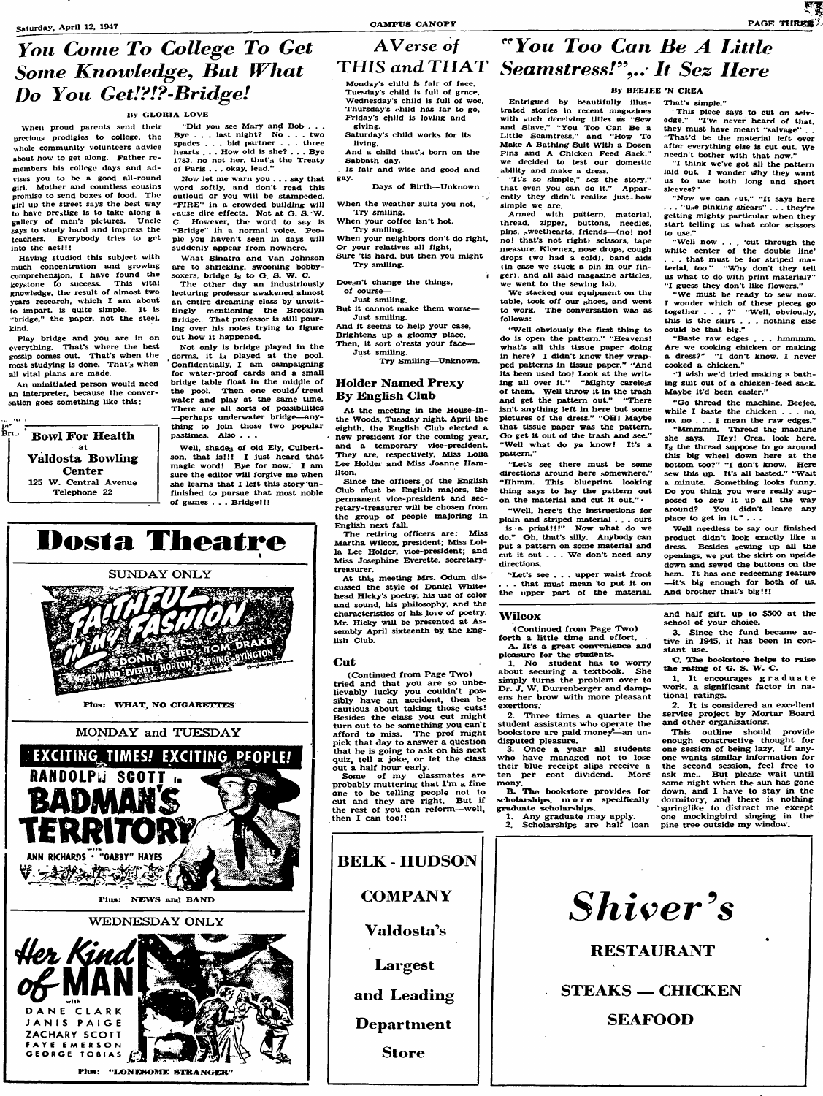**When proud parents send their precious prodigies to college, the whole community volunteers advice about how to get along. Father remembers his college days and advises you to bo a good all-round girl. Mother and countless cousins promise to send boxes of food. The girl up the street say^ the best way to have prestige is to take along a gallery of meii's pictures. Uncle &ays to study hard and impress tlie teachers. Everybody tries to get into the act!!!**

**Having studied this subject with much concentration a^^d growing** comprehensjon, I have found the **keystone to success. This vital knowledge, the result of almost two years research, which I am about to impart, is quite simple. It is "bridge," the paper, not the steel, kind.**

**Play bridge and you are in on everything. That's where the best gossip comes out. That's when the most studying is done. That's when all vital plans are made.**

**An uninitiated person would need an interpreter, because the conversation goes something like this:**



#### **Did you see Mary and Bob . . . Bye . . . last night? No . . . two spades . . . bid partner . . . three**

she learns that I left this story un**finished to pursue that most noble of games . . . Bridge!!!**

**hearts . . . How old is she? . . . Bye 1783, no not her. that's the Treaty of Paris . . . okay, lead."**

## Monday's child fs fair of face. **Tuesday s child is full of grace.**

**Now let me warti you . . . say that word softly, and don't read this outloud or you will be stampeded.** "FIRE" in a crowded building will cause dire effects. Not at G. S. W. **C. However, the word to say is** "Bridge" in a normal voice. Peo**ple you haven't seen in days will suddenly appear from nowhere.**

- **Sure tis hard, but then you might Try smiling.**
- Doesn't change the things,

**What Sinatra and Van Johnson are to shrieking, swooning bobbysoxers. bridge is to G. S. W. C.**

> **At the meeting in the House-inthe Woods, Tuesday night, Aprii the eighth, the English Club elected a - new president for the coming year, and a temporary vice-president. They are, respectively. Miss LoUa** Lee Holder and Miss Joanne Ham-

**The other day an industriously** lecturing professor awakened almost **an entire dreaming ciass by unwittingly mentioning the Brooklyn Bridge. That professor is still pouring over his notes trying to figure out how it happened.**

> Since the officers of the English **Club Must be English majors, the permanent vice-president and secretary-treasurer will be chosen from the group of people majoring in English next falL**

**Not only is bridge played in the dorms, it is played at the pool. Confidentially, I am campaigning for water-proof cards and a smaii —perhaps underwater bridge— any-**

> **(Continued from Page Two) tried and that you are so unbelievably lucky you couldn't possibly have an accident, then be cautious about taking those cuts!** Besides the class you cut might **turn out to be something you can't afford to miss. The prof might pick that day to answer a question that he is going to ask on his next quiz, tell a joke, or let the class out a half hour early.**



**Dosta Theatre** 

**ANN RKHARDS . "GABBY" HAYES** 

**BELK - HUDSON** 



**A Verse of**

### **You Come To College To Get** Some Knowledge, But What **Do You Get!?!?-Bridge!**

#### **ny GLORIA LOVE**



### "You Too Can Be A Little THIS and THAT Seamstress!",... It Sez Here

#### **By BEEJEE 'N CREA**

That's simple."

**Wednesday's child Is full of woe. Thursdays < hild has far to go,** Friday's child is loving and **giving.**

- **Saturday's child works for its living.**
- **And a child that's born on the Sabbath day.**
- **Is fair and wise and good and** gny.
	- **Days of Birth—Unknown**

**When the weather suits you not. Try smiling.**

**When your coffee isn't hot. Try smiling.**

**When your neighbors don't do right. Or your relatives all fight.**

I

**of course—**

**Just smiling.**

- **But it cannot make them worse— Just smiling.**
- **And it seems to help your case. Brightens up a gloomy place.**
- **Then, it sort o'rests your face—**

"Now we can cut." "It says here . "u<sub>s</sub>e pinking shears" . . . they're **getting mighty particular when they start teiiing us what color scissors**

**Just smiling. Try Smiling—^Unknown.**

#### **Holder Named Frexy By English Ciub**

**Baste raw edges . . . hmmmm. Are we cooking chicken or making** a dress?" "I don't know, I never

"Go thread the machine, Beejee, **while I baste the chicken . . . no, no. no . . . I mean the raw edges." "Mmmmm. Thread the machine she says. Hey! Crea, look here. Is the thread suppose to go around this big wheel down here at the** bottom too?" "I don't know. Here sew this up. It's all basted." "Wait **a minute. Something looks funny. Do you think you were really supposed to sew it up all the way around? You didn't leave any**

**The retiring officers are: Miss Martha Wilcox, president; Miss Loila Lee Holder, vice-president; and Miss Josephine Everette, secretarytreasurer.**

> (Continued from Page Two) **forth a little time and effort. A . It's a great oonvenience and pleaacure for the students.**

> 1. No student has to worry **about securing a textbook. She simply turns the problem over to** Dr. J. W. Durrenberger and damp**ens her brow with more pleasant exertions.**

**At this meeting Mrs. Odum discussed the style of Daniel Whiter head Hicky's poetry, his use of color and sound, his philosophy, and the characteristics of his love of poetry. Mr. Hicky will be presented at Assembly April sixteenth by the English Ciub.**

> 3. Once a year all students **who have managed not to lose their blue receipt slips receive a ten per cent dividend. More mony.**

#### **Cut**

**G. The bookstore helps to raise** the rating of G. S. W. C.

**2. It is considered an excellent service project by Mortar Board** and other organizations.

**This outline should provide enough constructive thought for** one session of being lazy. If anyone wants similar information for **the second session, feel free to ask me.. But please wait untii some night when the sun has gone down, and I have to stay in the dormitory, and there is nothing springlike to distract me except one mockingbird singing in the** pine tree outside my window.

**Some of my classmates are probably muttering that I'm a fine one to be telling people not to cut and they are right. But if** the rest of you can reform—well, **then I can too!!**

**Entrigued by beautifully i!!ustrated stories in recent magazines with wuch deceiving tlties as 'Sew and Siave. " You Too Can Be a Littie Seamtress," and "How To Make A Bathing Suit With a Dozen Fins and A Chicken Feed Sack.' we decided to test our domestic ability and make a dress.**

**"It's so simple," sez the story,"** that even you can do it." Appar**ently they didn't reaiize just.-how simpie we are.**

**Armed with pattern, matcriai, thread, zipper, buttons, needles, pins, sweethearts, friends— (no! no! no! that's not right) scissors, tape measure, Kleenex, nose drops, cough drops** (WC **had a coid), band aids (in case wc stuck a pin in our finger), and aii said magazine articles, wc went to the sewing iab.**

**We stacked our equipment on the tabie, took off our shoes, and went to work. The conversation was as follows:**

**"Well obviousiy the first thing to do is open the pattern." "Heavens! what's aii this tissue paper doing in here? I didn't know they wrapped patterns in tissue paper." "And Its been used too! Look at the writing all over it." "Mighty careless of them. Well throw it in the trash and get the pattern out." "There isn't anything left in here but some** pictures of the dress." "OH! Maybe **that tissue paper was the pattern. Go get it out of the trash and see." "Well what do ya know! It's a pattern.'**

**"Let's see there must be some directions around here somewhere." "Hhmm. This blueprint looking thing says to lay the pattern out on the material and cut it out."**

**'Well, here's the instructions for plain and striped material . . . ours is a print!!!" Now what do we do." Gh, that's silly. Anybody can put a pattern on some material and** cut it out . . . We don't need any **directions.**

**'Let's see . . . upper waist front**

**. . . that must mean to put it on the upper part of the materiaL**

**This piece says to cut on seivcdge. I've never heard of that,** they must have meant "salvage" . . **' That d be the material ieft over after everything else is cut out. We needn t bother with that now." I think we ve got aii the pattern laid out. I wonder Why they want us to use both long and short**

**siceves? '**

**to use.'**

**' WcU now . . . cut through the white center of the doubie line' . . . that must be for striped materia!, too." Why don't they teii us what to do with print niateriai? ' I guess they don t iike flowers ' We must be ready to sew now. I wonder which of these pieces go** together . . . ?" "Well, obviously, **this is the skirt . . . nothing else**

**couid be that big."**

**cooked a chicken."**

**" I wish we'd tried making a bathing suit out of a chicken-feed sack.**

**Maybe it'd been easier."**

**place to get in it." . . .**

**Well needless to say our finished product didnt look exactly like a dress. Besides sewing all the openings, we put the skirt on upside down and sewed the buttons on the hem. It has one redeeming feature — it's big enough for both of us.**

**And brother that's big!!!**

#### **WHcox**

**2. Three times a quarter the student assistants who operate the** bookstore are paid money-an un**disputed pleasure.**

**B . The bookstore provides for scholarshipes. more specifically graduate scholarships. 1. Any graduate may apply.**

**2. Scholarships are half loan**

**and half gift, up to \$500 at the school of your choice. 3. Since the fund became ac-**

**tive in 1945, it has been in constant use.**

**1. It encourages graduate work, a significant factor in national ratings.**

**C O M P A N Y Valdosta's Largest Store**

*Shiver's* **RESTAURANT** and Leading | | STEAKS - CHICKEN **Department** | SEAFOOD